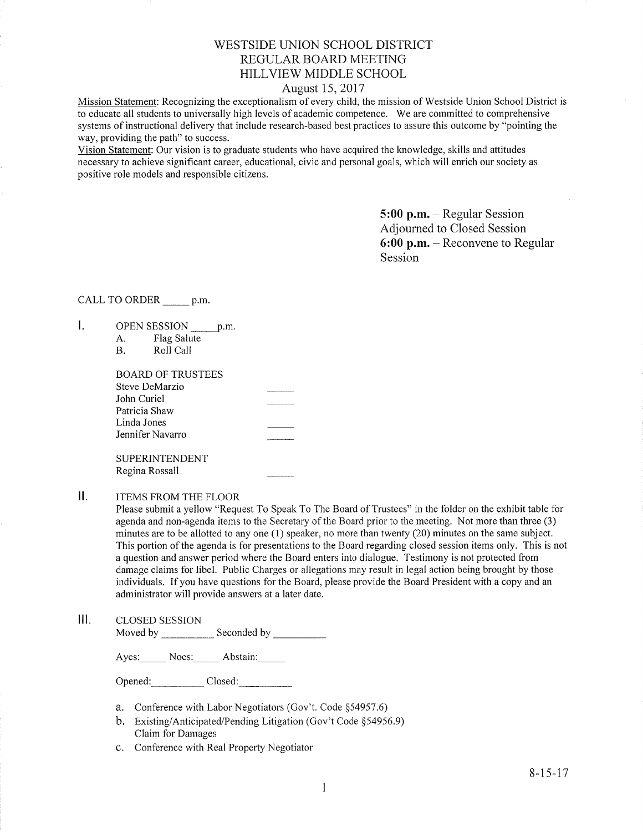# WESTSIDE UNION SCHOOL DISTRICT REGULAR BOARD MEETING HILLVIEW MIDDLE SCHOOL

### August 15, 2017

Mission Statement: Recognizing the exceptionalism of every child, the mission of Westside Union School District is to educate all students to universally high levels of academic competence. We are committed to comprehensive systems of instructional delivery that include research-based best practices to assure this outcome by "pointing the way, providing the path" to success.

Vision Statement: Our vision is to graduate students who have acquired the knowledge, skills and attitudes necessary to achieve signifìcant career, educational, civic and personal goals, which will enrich our society as positive role models and responsible citizens.

> 5:00 p.m. - Regular Session Adjourned to Closed Session 6:00 p.m. - Reconvene to Regular Session

### CALL TO ORDER \_\_\_\_\_\_ p.m.

- $\mathbf{I}$ . OPEN SESSION p.m.
	- A. Flag Salute<br>B. Roll Call

| BOARD OF TRUSTEES |                                             |
|-------------------|---------------------------------------------|
| Steve DeMarzio    |                                             |
| John Curiel       |                                             |
| Patricia Shaw     |                                             |
| Linda Jones       |                                             |
| Jennifer Navarro  | <b>Aguin Anni A.M.A. (1983) Ann Ann Ann</b> |
|                   |                                             |
| SUPERINTENDENT    |                                             |

Regina Rossall

#### $II.$ ITEMS FROM THE FLOOR

Please submit a yellow "Request To Speak To The Board of Trustees" in the folder on the exhibit table for agenda and non-agenda items to the Secretary of the Board prior to the meeting. Not more than three (3) minutes are to be allotted to any one (1) speaker, no more than twenty (20) minutes on the same subject. This portion of the agenda is for presentations to the Board regarding closed session items only. This is not a question and answer period where the Board enters into dialogue. Testimony is not protected from damage claims for libel. Public Charges or allegations may result in legal action being brought by those individuals. If you have questions for the Board, please provide the Board President with a copy and an administrator will provide answers at a later date.

lll. cLosED sESSroN Moved by Seconded by Seconded by Seconded by Seconded by Seconded by Seconded by Seconded by Seconded by Seconded by Seconded by Seconded by Seconded by Seconded by Seconded by Seconded by Seconded by Seconded by Seconded

Ayes: Noes: Abstain:

Opened: Closed:

- a. Conference with Labor Negotiators (Gov't. Code \$54957.6)
- b. Existing/Anticipated/Pending Litigation (Gov't Code \$54956.9) Claim for Damages
- c. Conference with Real Property Negotiator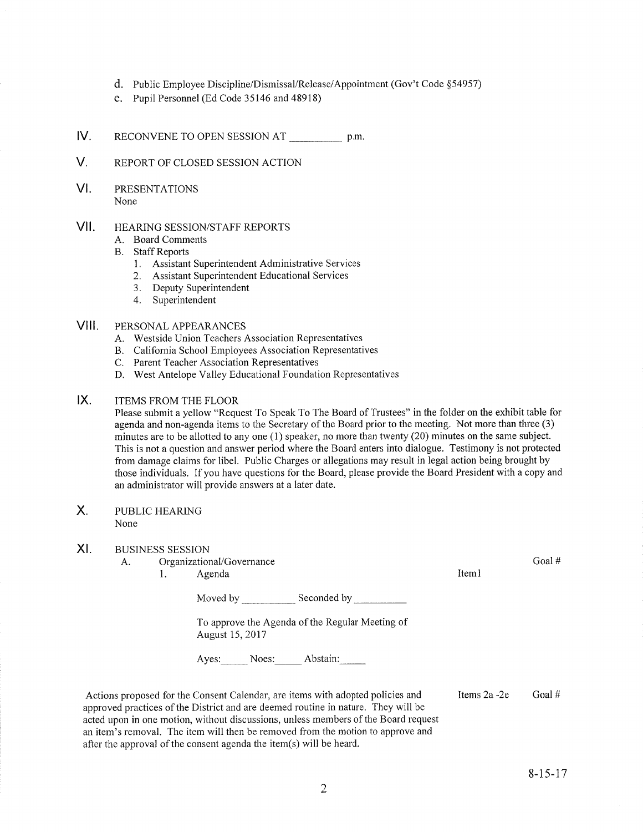- d. Public Employee Discipline/Dismissal/Release/Appointment (Gov't Code §54957)
- e. Pupil Personnel (Ed Code 35146 and 48918)
- IV RECONVENE TO OPEN SESSION AT p.m.
- V. REPORT OF CLOSED SESSION ACTION
- VI PRESENTATIONS None
- vil HEARING SESSION/STAFF REPORTS
	- A. Board Comments
	- B. Staff Reports
		- 1. Assistant Superintendent Administrative Services
		- 2. Assistant Superintendent Educational Services
		- 3. Deputy Superintendent
		- 4. Superintendent

#### VIII. PERSONAL APPEARANCES

- A. Westside Union Teachers Association Representatives
- B. California School Employees Association Representatives
- C. Parent Teacher Association Representatives
- D. West Antelope Valley Educational Foundation Representatives
- $IX.$ ITEMS FROM THE FLOOR

Please submit a yellow "Request To Speak To The Board of Trustees" in the folder on the exhibit table for agenda and non-agenda items to the Secretary of the Board prior to the meeting. Not more than three (3) minutes are to be allotted to any one (1) speaker, no more than twenty (20) minutes on the same subject. This is not a question and answer period where the Board enters into dialogue. Testimony is not protected from damage claims for libel. Public Charges or allegations may result in legal action being brought by those individuals. If you have questions for the Board, please provide the Board President with a copy and an administrator will provide answers at a later date.

 $X_{1}$ PUBLIC HEARING None

#### $X<sub>L</sub>$ BUSINESS SESSION

A. Organizational/Governance

1. Agenda

Goal #

Iteml

Moved by Seconded by Seconded by Seconded by Seconded by Seconded by Seconded by Seconded by Seconded by Seconded by Seconded by Seconded by Seconded by Seconded by Seconded by Seconded by Seconded by Seconded by Seconded To approve the Agenda of the Regular Meeting of

August 15,2011

Ayes: Noes: Abstain:

Actions proposed for the Consent Calendar, are items with adopted policies and approved practices of the District and are deemed routine in nature. They will be acted upon in one motion, without discussions, unless members of the Board request an item's removal. The item will then be removed from the motion to approve and after the approval of the consent agenda the itern(s) will be heard. Items  $2a - 2e$  Goal #

8-15-17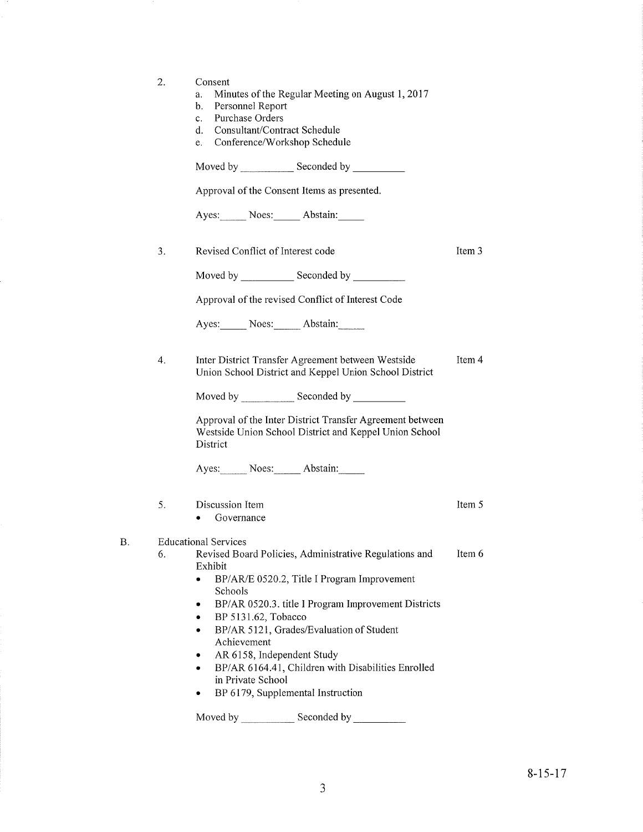| 2. | Consent<br>Minutes of the Regular Meeting on August 1, 2017<br>a.<br>Personnel Report<br>b.<br>Purchase Orders<br>$c_{\cdot}$<br>Consultant/Contract Schedule<br>d.<br>Conference/Workshop Schedule<br>e.                                                                                                                                                                                                                                |        |
|----|------------------------------------------------------------------------------------------------------------------------------------------------------------------------------------------------------------------------------------------------------------------------------------------------------------------------------------------------------------------------------------------------------------------------------------------|--------|
|    |                                                                                                                                                                                                                                                                                                                                                                                                                                          |        |
|    | Approval of the Consent Items as presented.                                                                                                                                                                                                                                                                                                                                                                                              |        |
|    | Ayes: Noes: Abstain:                                                                                                                                                                                                                                                                                                                                                                                                                     |        |
| 3. | Revised Conflict of Interest code                                                                                                                                                                                                                                                                                                                                                                                                        | Item 3 |
|    |                                                                                                                                                                                                                                                                                                                                                                                                                                          |        |
|    | Approval of the revised Conflict of Interest Code                                                                                                                                                                                                                                                                                                                                                                                        |        |
|    | Ayes: Noes: Abstain:                                                                                                                                                                                                                                                                                                                                                                                                                     |        |
| 4. | Inter District Transfer Agreement between Westside<br>Union School District and Keppel Union School District                                                                                                                                                                                                                                                                                                                             | Item 4 |
|    |                                                                                                                                                                                                                                                                                                                                                                                                                                          |        |
|    | Approval of the Inter District Transfer Agreement between<br>Westside Union School District and Keppel Union School<br>District                                                                                                                                                                                                                                                                                                          |        |
|    | Ayes: Noes: Abstain:                                                                                                                                                                                                                                                                                                                                                                                                                     |        |
| 5. | Discussion Item<br>• Governance                                                                                                                                                                                                                                                                                                                                                                                                          | Item 5 |
| 6. | <b>Educational Services</b><br>Revised Board Policies, Administrative Regulations and<br>Exhibit<br>BP/AR/E 0520.2, Title I Program Improvement<br>$\bullet$<br>Schools<br>BP/AR 0520.3. title I Program Improvement Districts<br>BP 5131.62, Tobacco<br>٠<br>BP/AR 5121, Grades/Evaluation of Student<br>٠<br>Achievement<br>AR 6158, Independent Study<br>BP/AR 6164.41, Children with Disabilities Enrolled<br>٠<br>in Private School | Item 6 |
|    | BP 6179, Supplemental Instruction                                                                                                                                                                                                                                                                                                                                                                                                        |        |
|    | Moved by<br>Seconded by _______                                                                                                                                                                                                                                                                                                                                                                                                          |        |

B.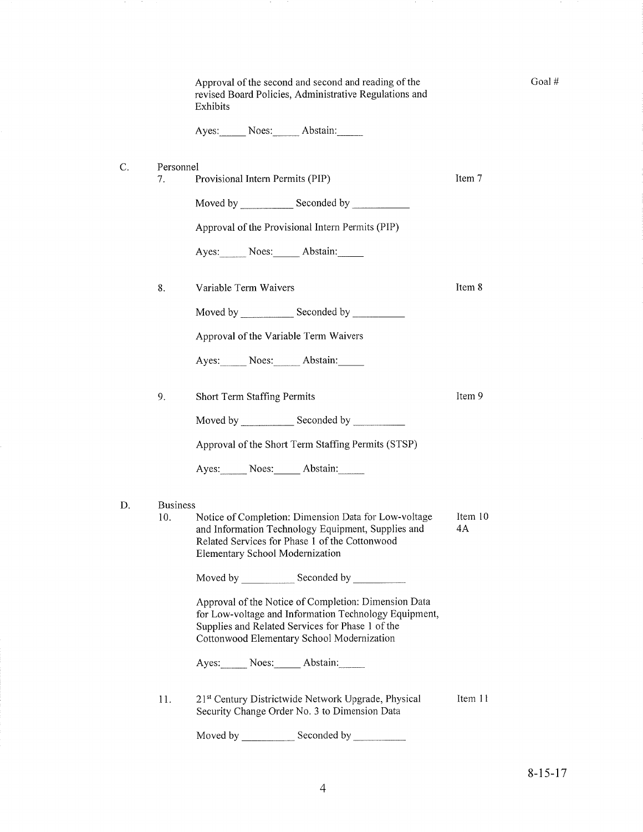| Approval of the second and second and reading of the   |
|--------------------------------------------------------|
| revised Board Policies, Administrative Regulations and |
| Exhibits                                               |

Ayes: Noes: Abstain:

| Personnel |
|-----------|
|           |

7. Provisional Intern Permits (PIP) Item 7

Item 8

Goal#

Item 9

Moved by Seconded by Seconded by Seconded by Seconded by Seconded by Seconded by Seconded by Seconded by Seconded by Seconded by Seconded by Seconded by Seconded by Seconded by Seconded by Seconded by Seconded by Seconded

Approval of the Provisional Intern Permits (PIP)

Ayes: Noes: Abstain:

8. Variable Term Waivers

Moved bv Seconded by

Approval of the Variable Term Waivers

Ayes: Noes: Abstain:

9. Short Term Staffing Permits

Moved by \_\_\_\_\_\_\_\_\_\_\_\_\_ Seconded by \_\_

Approval of the Short Term Staffing Permits (STSP)

Ayes: Noes: Abstain:

### D. Business

Notice of Completion: Dimension Data for Low-voltage and Information Technology Equipment, Supplies and Related Services for Phase 1 of the Cottonwood E lementary School Modernization Item 10 4A 10.

Moved by Seconded by Seconded by Seconded by Seconded by Seconded by Seconded by Seconded by Seconded by Seconded by Seconded by Seconded by Seconded by Seconded by Seconded by Seconded by Seconded by Seconded by Seconded

Approval of the Notice of Completion: Dimension Data for Low-voltage and Information Technology Equipment, Supplies and Related Services for Phase 1 of the Cottonwood Elementary School Modernization

Ayes: Noes: Abstain:

11. 21<sup>st</sup> Century Districtwide Network Upgrade, Physical Security Change Order No. 3 to Dimension Data Item 11

Moved by \_\_\_\_\_\_\_\_\_\_\_\_\_\_Seconded by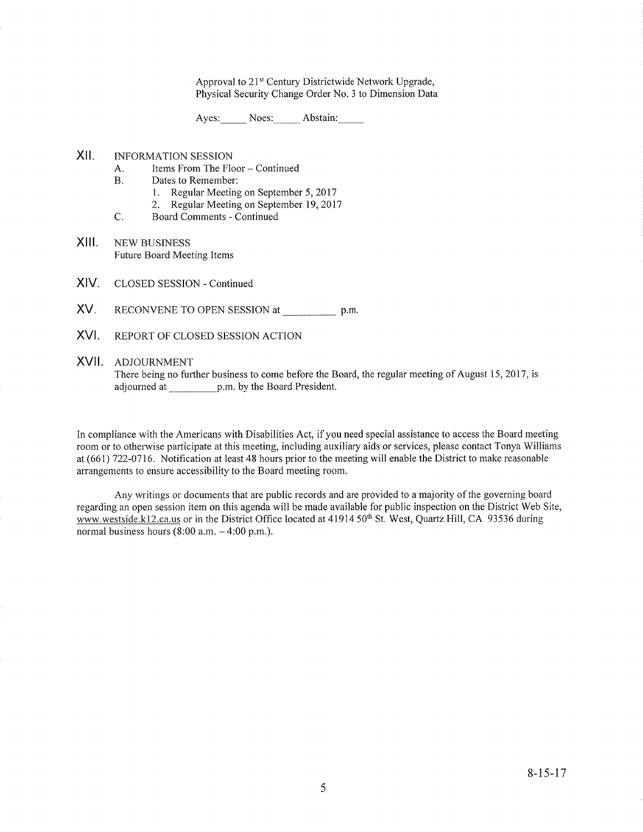Approval to 21<sup>st</sup> Century Districtwide Network Upgrade, Physical Security Change Order No. 3 to Dimension Data

Ayes: Noes: Abstain:

# XII. INFORMATION SESSION

- A. Items From The Floor Continued<br>B. Dates to Remember:
- - 1. Regular Meeting on September 5,2017
- 2. Regular Meeting on September 19,2017 C. Board Comments Continued
- 
- XIII. NEW BUSINESS Future Board Meeting Items
- XIV. CLOSED SESSION - Continued
- XV. RECONVENE TO OPEN SESSION at p.m.
- XVI. REPORT OF CLOSED SESSION ACTION

### XVII ADJOURNMENT

There being no further business to come before the Board, the regular meeting of August 15, 2017, is adjourned at p.m. by the Board President.

In compliance with the Americans with Disabilities Act, if you need special assistance to access the Board meeting room or to otherwise parlicipate at this meeting, including auxiliary aids or services, please contact Tonya Williams at (661) 722-0116. Notifrcation at least 48 hours prior to the meeting will enable the District to make reasonable arrangements to ensure accessibility to the Board meeting room.

Any writings or documents that are public records and are provided to a majority of the governing board regarding an open session item on this agenda will be made available for public inspection on the District Web Site, www.westside.k12.ca.us or in the District Office located at 41914 50<sup>th</sup> St. West, Quartz Hill, CA 93536 during normal business hours  $(8:00$  a.m.  $-4:00$  p.m.).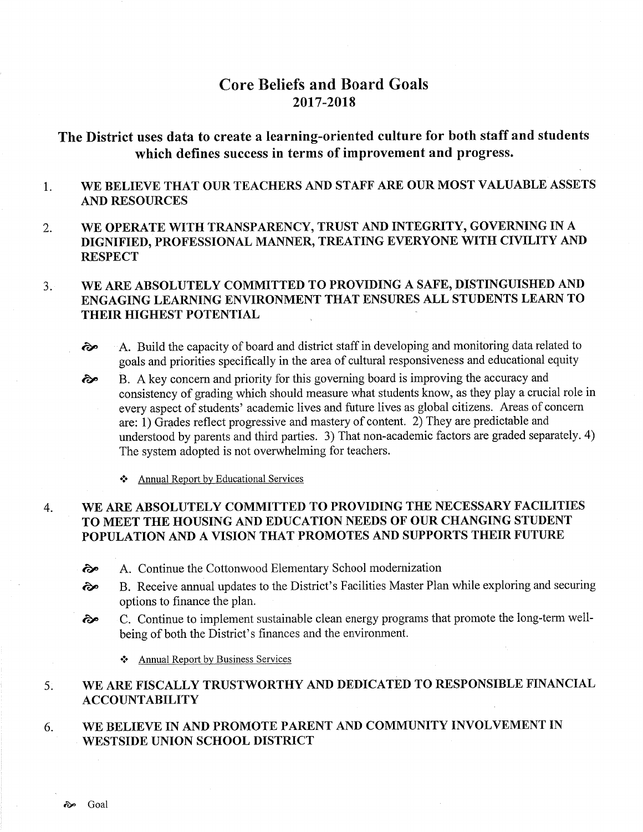# Core Beliefs and Board Goals 2017-2018

# The District uses data to create a learning-oriented culture for both staff and students which defïnes success in terms of improvement and progress.

#### 1 WE BELIEVE THAT OUR TEACHERS AND STAFF ARE OUR MOST VALUABLE ASSETS AND RESOURCES

2. WE OPERATE WITH TRANSPARENCY, TRUST AND INTEGRITY, GOVERNING IN A DIGNIFIED, PROFESSIONAL MANNER, TREATING EVERYONE WITH CIVILITY AND **RESPECT** 

### WE ARE ABSOLUTELY COMMITTED TO PROVIDING A SAFE, DISTINGUISHED AND ENGAGING LEARNING ENVIRONMENT THAT ENSURES ALL STUDENTS LEARN TO THEIR HIGHEST POTENTIAL  $3<sub>l</sub>$

- $\odot$  A. Build the capacity of board and district staff in developing and monitoring data related to goals and priorities specifically in the area of cultural responsiveness and educational equity
- B. A key concern and priority for this goveming board is improving the accuracy and consistency of grading which should measure what students know, as they play a crucial role in every aspect of students' academic lives and future lives as global citizens. Areas of concern are: 1) Grades reflect progressive and mastery of content. 2) They are predictable and understood by parents and third parties. 3) That non-academic factors are graded separately. 4) The system adopted is not overwhelming for teachers. èp
	- \* Annual Report by Educational Services

### WE ARE ABSOLUTELY COMMITTED TO PROVIDING THE NECESSARY FACILITIES TO MEET THE HOUSING AND EDUCATION NEEDS OF OUR CHANGING STUDENT POPULATION AND A VISION THAT PROMOTES AND SUPPORTS THEIR FUTURE 4

- èp A. Continue the Cottonwood Elementary School modernization
- ôp B. Receive annual updates to the District's Facilities Master Plan while exploring and securing options to finance the plan.
- è" C. Continue to implement sustainable clean energy programs that promote the long-term wellbeing of both the District's finances and the environment.

\* Annual Report by Business Services

### WE ARE FISCALLY TRUSTWORTHY AND DEDICATED TO RESPONSIBLE FINANCIAL ACCOUNTABILITY 5

#### WE BELIEVE IN AND PROMOTE PARENT AND COMMUNITY INVOLVEMENT IN WESTSIDE UNION SCHOOL DISTRICT 6.

èp Goal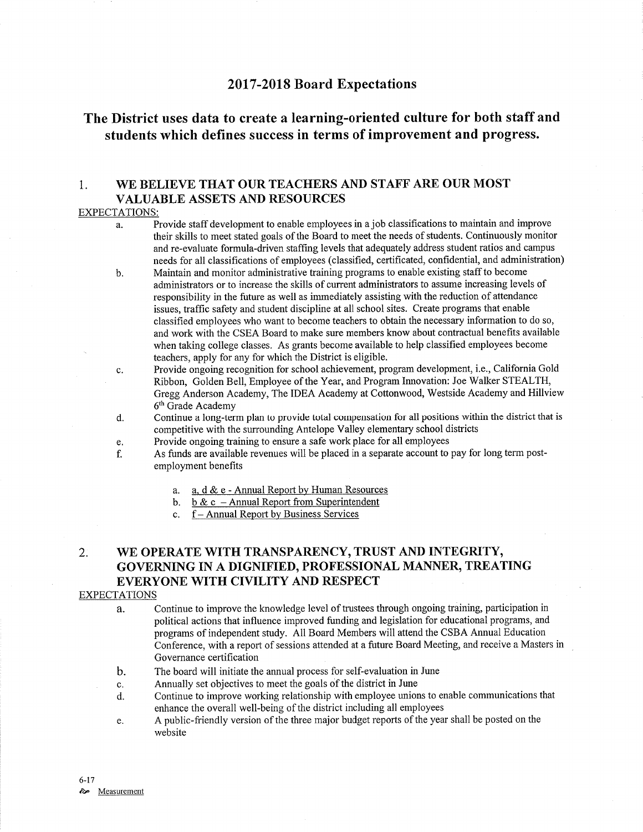# <sup>2017</sup>-2018 Board Expectations

# The District uses data to create a learning-oriented culture for both staff and students which defines success in terms of improvement and progress.

## 1. WE BELIEVE THAT OUR TEACHERS AND STAFF ARE OUR MOST VALUABLE ASSETS AND RESOURCES

### EXPECTATIONS:

- a. Provide staff development to enable employees in a job classifications to maintain and improve their skills to meet stated goals of the Board to meet the needs of students. Continuously monitor and re-evaluate formula-driven staffing levels that adequately address student ratios and campus needs for all classifications of employees (classified, certificated, confidential, and administration)
- b. Maintain and monitor administrative training programs to enable existing staff to become administrators or to increase the skills of current administrators to assume increasing levels of responsibility in the future as well as immediately assisting with the reduction of attendance issues, traffic safefy and student discipline at all school sites. Create programs that enable classified employees who want to become teachers to obtain the necessary information to do so, and work with the CSEA Board to make sure members know about contractual benefits available when taking college classes. As grants become available to help classified employees become teachers, apply for any for which the District is eligible.
- c. Provide ongoing recognition for school achievement, program development, i.e., California Gold Ribbon, Golden Bell, Employee of the Year, and Program Innovation: Joe Walker STEALTH, Gregg Anderson Academy, The IDEA Academy at Cottonwood, Westside Academy and Hillview 6th Grade Academy
- d. Continue a long-term plan to provide total compensation for all positions within the district that is competitive with the swrounding Antelope Valley elementary school districts
- e. Provide ongoing training to ensure a safe work place for all employees
- f. As funds are available revenues will be placed in a separate account to pay for long term postemployment benefits
	- a. a.  $d \& e$  Annual Report by Human Resources<br>b. b  $\& c$  Annual Report from Superintendent<br>c. f Annual Report by Business Services
	-
	-

# 2. WE OPERATE WITH TRANSPARENCY, TRUST AND INTEGRITY, GOVERNING IN A DIGNIFIED, PROFESSIONAL MANNER, TREATING EVERYONE WITH CIVILITY AND RESPECT

### EXPECTATIONS

a. Continue to improve the knowledge level of trustees through ongoing training, participation in political actions that influence improved funding and legislation for educational programs, and programs of independent study. All Board Members will attend the CSBA Annual Education Conference, with a report of sessions attended at a future Board Meeting, and receive a Masters in Governance certification

- b. The board will initiate the annual process for self-evaluation in June
- c. Annually set objectives to meet the goals of the district in June
- d. Continue to improve working relationship with employee unions to enable communications that enhance the overall well-being of the district including all employees
- e. A public-friendly version of the three major budget reports of the year shall be posted on the website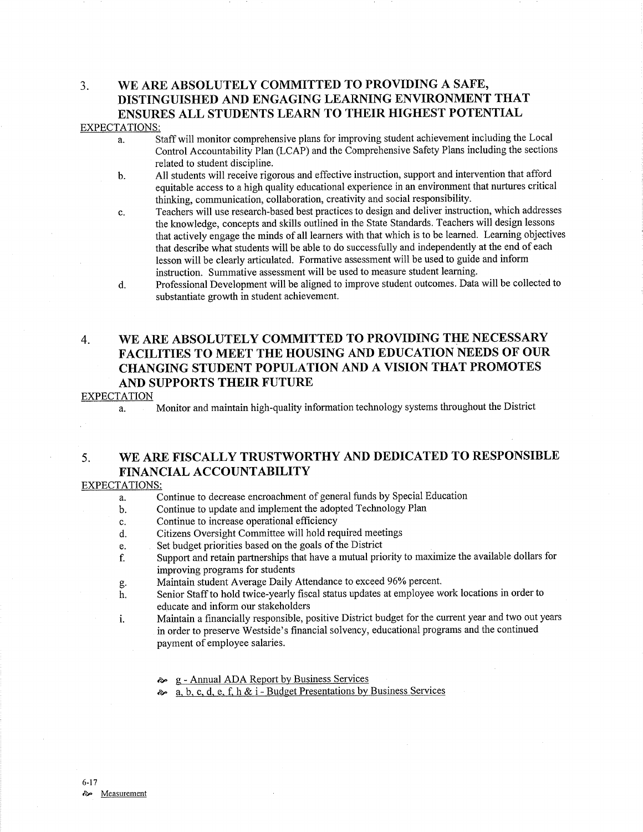## 3. WE ARE ABSOLUTELY COMMITTED TO PROVIDING A SAFE, DISTINGUISHED AND ENGAGING LEARNING ENVIRONMENT THAT ENSURES ALL STUDENTS LEARN TO THEIR HIGHEST POTENTIAL EXPECTATIONS:

- a. Staff will monitor comprehensive plans for improving student achievement including the Local Control Accountabilify Plan (LCAP) and the Comprehensive Safety Plans including the sections related to student discipline.
- b. All students will receive rigorous and effective instruction, support and intervention that afford equitable access to a high quality educational experience in an environment that nurtures critical thinking, communication, collaboration, creativity and social responsibility.
- c. Teachers will use research-based best practices to design and deliver instruction, which addresses the knowledge, concepts and skills outlined in the State Standards. Teachers will design lessons that actively engage the minds of all learners with that which is to be learned. Leaming objectives that describe what students will be able to do successfully and independently at the end of each lesson will be clearly articulated. Formative assessment will be used to guide and inform instruction. Summative assessment will be used to measure student learning.
- d. Professional Development will be aligned to improve student outcomes. Data will be collected to substantiate growth in student achievement.

# 4. WE ARE ABSOLUTELY COMMITTED TO PROVIDING THE NECESSARY FACILITIES TO MEET THE HOUSING AND EDUCATION NEEDS OF OUR CHANGING STUDENT POPULATION AND A VISION THAT PROMOTES AND SUPPORTS THEIR FUTURE

### EXPECTATION

a. Monitor and maintain high-quality information technology systems throughout the District

# 5. WE ARE FISCALLY TRUSTWORTHY AND DEDICATED TO RESPONSIBLE FINANCIAL ACCOUNTABILITY

### EXPECTATIONS:

- a. Continue to decrease encroachment of general funds by Special Education
- b. Continue to update and implement the adopted Technology Plan
- c. Continue to increase operational efficiency
- d. Citizens Oversight Committee will hold required meetings
- e. Set budget priorities based on the goals of the District
- f. Support and retain partnerships that have a mutual prioriry to maximize the available dollars for
- improving programs for students<br>Maintain student Average Daily Attendance to exceed 96% percent.
- g. Maintain student Average Daily Attendance to exceed 96% percent.<br>h. Senior Staff to hold twice-yearly fiscal status updates at employee work locations in order to educate and inform our stakeholders
- i. Maintain a financially responsible, positive District budget for the current year and two out years in order to preserve Westside's financial solvency, educational programs and the continued payment of employee salaries.
	- èp <sup>g</sup> Annual ADA Report by Business Services
	- $\sim a, b, c, d, e, f, h \& i Budget \text{Presentations by Business Services}$